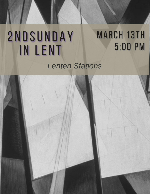# 2NDSUNDAY IN LENT

## **MARCH 13TH** 5:00 PM

**Lenten Stations** 

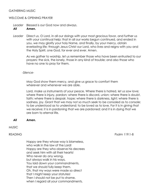### GATHERING MUSIC

#### WELCOME & OPENING PRAYER

*Leader* Blessed is our God now and always.

### *All* **Amen.**

*Leader* Direct us, O Lord, in all our doings with your most gracious favor, and further us with your continual help; that in all our works begun continued, and ended in you, we may glorify your holy Name, and finally, by your mercy, obtain everlasting life; through Jesus Christ our Lord, who lives and reigns with you and the Holy Spirit, one God, for ever and ever. Amen.

> As we gather to worship, let us remember those who have been entrusted to our prayers: the sick, the lonely, those in any kind of trouble; and also those who have no one to pray for them.

*-Silence-*

May God show them mercy, and give us grace to comfort them wherever and whenever we are able.

Lord, make us instruments of your peace. Where there is hatred, let us sow love; where there is injury, pardon; where there is discord, union; where there is doubt, faith; where there is despair, hope; where there is darkness, light; where there is sadness, joy. Grant that we may not so much seek to be consoled as to console; to be understood as to understand; to be loved as to love. For it is in giving that we receive; it is in pardoning that we are pardoned; and it is in dying that we are born to eternal life.

*All* **Amen.**

**MUSIC** 

READING Psalm 119:1-8

Happy are they whose way is blameless, who walk in the law of the Lord! Happy are they who observe his decrees and seek him with all their hearts! Who never do any wrong, but always walk in his ways. You laid down your commandments, that we should fully keep them. Oh, that my ways were made so direct that I might keep your statutes! Then I should not be put to shame, when I regard all your commandments.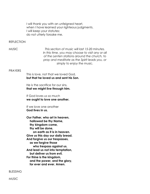I will thank you with an unfeigned heart, when I have learned your righteous judgments. I will keep your statutes; do not utterly forsake me.

#### REFLECTION

MUSIC *This section of music will last 15-20 minutes. In this time, you may choose to visit any or all of the Lenten stations around the church, to pray and meditate as the Spirit leads you, or simply to enjoy the music.*

#### PRAYERS

This is love, not that we loved God, **but that he loved us and sent his Son.**

He is the sacrifice for our sins, **that we might live through him.**

If God loves us so much **we ought to love one another.**

If we love one another **God lives in us.**

**Our Father, who art in heaven, hallowed be thy Name, thy kingdom come, thy will be done, on earth as it is in heaven. Give us this day our daily bread. And forgive us our trespasses, as we forgive those who trespass against us. And lead us not into temptation, but deliver us from evil. For thine is the kingdom, and the power, and the glory, for ever and ever. Amen.**

BLESSING

MUSIC